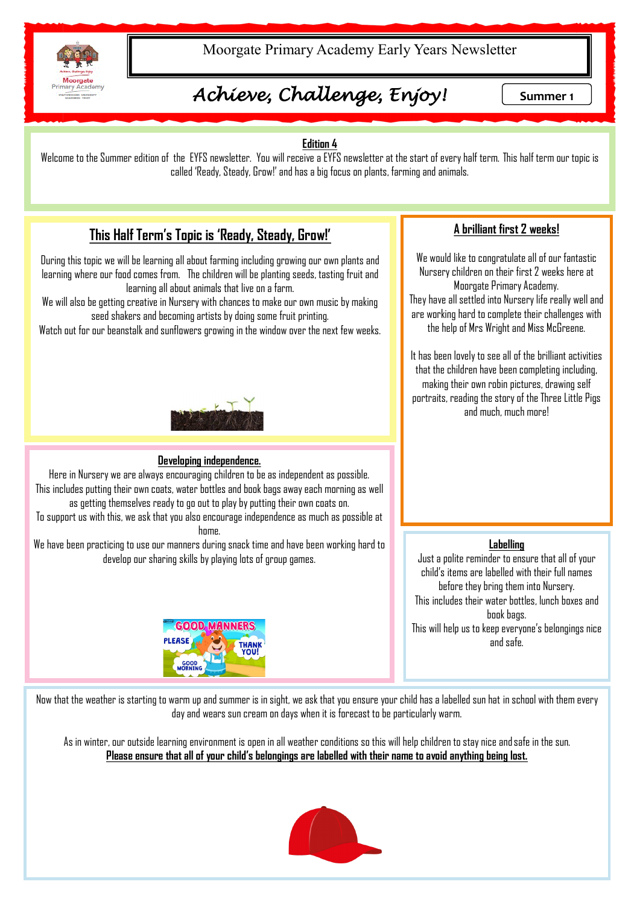

Moorgate Primary Academy Early Years Newsletter

# *Achieve, Challenge, Enjoy!* Summer 1

### **Edition 4**

Welcome to the Summer edition of the EYFS newsletter. You will receive a EYFS newsletter at the start of every half term. This half term our topic is called 'Ready, Steady, Grow!' and has a big focus on plants, farming and animals.

## **This Half Term's Topic is 'Ready, Steady, Grow!'**

During this topic we will be learning all about farming including growing our own plants and learning where our food comes from. The children will be planting seeds, tasting fruit and learning all about animals that live on a farm.

We will also be getting creative in Nursery with chances to make our own music by making seed shakers and becoming artists by doing some fruit printing.

Watch out for our beanstalk and sunflowers growing in the window over the next few weeks.



#### **Developing independence.**

Here in Nursery we are always encouraging children to be as independent as possible. This includes putting their own coats, water bottles and book bags away each morning as well as getting themselves ready to go out to play by putting their own coats on.

To support us with this, we ask that you also encourage independence as much as possible at home.

We have been practicing to use our manners during snack time and have been working hard to develop our sharing skills by playing lots of group games.



### **A brilliant first 2 weeks!**

We would like to congratulate all of our fantastic Nursery children on their first 2 weeks here at Moorgate Primary Academy. They have all settled into Nursery life really well and are working hard to complete their challenges with the help of Mrs Wright and Miss McGreene.

It has been lovely to see all of the brilliant activities that the children have been completing including, making their own robin pictures, drawing self portraits, reading the story of the Three Little Pigs and much, much more!

#### **Labelling**

Just a polite reminder to ensure that all of your child's items are labelled with their full names before they bring them into Nursery. This includes their water bottles, lunch boxes and book bags. This will help us to keep everyone's belongings nice and safe.

Now that the weather is starting to warm up and summer is in sight, we ask that you ensure your child has a labelled sun hat in school with them every day and wears sun cream on days when it is forecast to be particularly warm.

As in winter, our outside learning environment is open in all weather conditions so this will help children to stay nice and safe in the sun. **Please ensure that all of your child's belongings are labelled with their name to avoid anything being lost.**